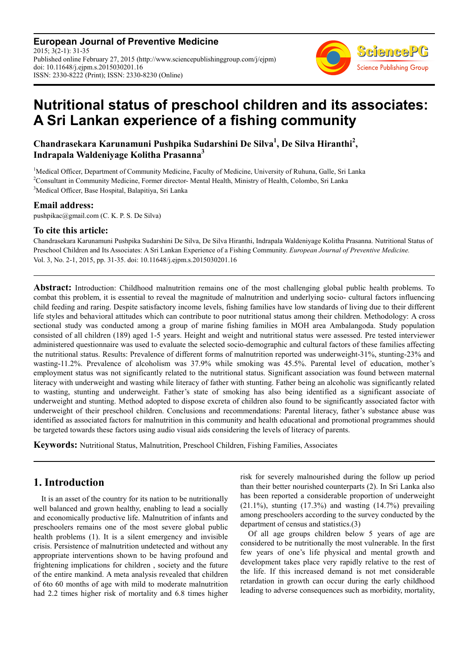**European Journal of Preventive Medicine** 2015; 3(2-1): 31-35 Published online February 27, 2015 (http://www.sciencepublishinggroup.com/j/ejpm) doi: 10.11648/j.ejpm.s.2015030201.16 ISSN: 2330-8222 (Print); ISSN: 2330-8230 (Online)



# **Nutritional status of preschool children and its associates: A Sri Lankan experience of a fishing community**

#### **Chandrasekara Karunamuni Pushpika Sudarshini De Silva<sup>1</sup> , De Silva Hiranthi<sup>2</sup> , Indrapala Waldeniyage Kolitha Prasanna<sup>3</sup>**

<sup>1</sup>Medical Officer, Department of Community Medicine, Faculty of Medicine, University of Ruhuna, Galle, Sri Lanka <sup>2</sup>Consultant in Community Medicine, Former director- Mental Health, Ministry of Health, Colombo, Sri Lanka <sup>3</sup>Medical Officer, Base Hospital, Balapitiya, Sri Lanka

#### **Email address:**

pushpikac@gmail.com (C. K. P. S. De Silva)

#### **To cite this article:**

Chandrasekara Karunamuni Pushpika Sudarshini De Silva, De Silva Hiranthi, Indrapala Waldeniyage Kolitha Prasanna. Nutritional Status of Preschool Children and Its Associates: A Sri Lankan Experience of a Fishing Community. *European Journal of Preventive Medicine.* Vol. 3, No. 2-1, 2015, pp. 31-35. doi: 10.11648/j.ejpm.s.2015030201.16

**Abstract:** Introduction: Childhood malnutrition remains one of the most challenging global public health problems. To combat this problem, it is essential to reveal the magnitude of malnutrition and underlying socio- cultural factors influencing child feeding and raring. Despite satisfactory income levels, fishing families have low standards of living due to their different life styles and behavioral attitudes which can contribute to poor nutritional status among their children. Methodology: A cross sectional study was conducted among a group of marine fishing families in MOH area Ambalangoda. Study population consisted of all children (189) aged 1-5 years. Height and weight and nutritional status were assessed. Pre tested interviewer administered questionnaire was used to evaluate the selected socio-demographic and cultural factors of these families affecting the nutritional status. Results: Prevalence of different forms of malnutrition reported was underweight-31%, stunting-23% and wasting-11.2%. Prevalence of alcoholism was 37.9% while smoking was 45.5%. Parental level of education, mother's employment status was not significantly related to the nutritional status. Significant association was found between maternal literacy with underweight and wasting while literacy of father with stunting. Father being an alcoholic was significantly related to wasting, stunting and underweight. Father's state of smoking has also being identified as a significant associate of underweight and stunting. Method adopted to dispose excreta of children also found to be significantly associated factor with underweight of their preschool children. Conclusions and recommendations: Parental literacy, father's substance abuse was identified as associated factors for malnutrition in this community and health educational and promotional programmes should be targeted towards these factors using audio visual aids considering the levels of literacy of parents.

**Keywords:** Nutritional Status, Malnutrition, Preschool Children, Fishing Families, Associates

### **1. Introduction**

It is an asset of the country for its nation to be nutritionally well balanced and grown healthy, enabling to lead a socially and economically productive life. Malnutrition of infants and preschoolers remains one of the most severe global public health problems (1). It is a silent emergency and invisible crisis. Persistence of malnutrition undetected and without any appropriate interventions shown to be having profound and frightening implications for children , society and the future of the entire mankind. A meta analysis revealed that children of 6to 60 months of age with mild to moderate malnutrition had 2.2 times higher risk of mortality and 6.8 times higher

risk for severely malnourished during the follow up period than their better nourished counterparts (2). In Sri Lanka also has been reported a considerable proportion of underweight  $(21.1\%)$ , stunting  $(17.3\%)$  and wasting  $(14.7\%)$  prevailing among preschoolers according to the survey conducted by the department of census and statistics.(3)

Of all age groups children below 5 years of age are considered to be nutritionally the most vulnerable. In the first few years of one's life physical and mental growth and development takes place very rapidly relative to the rest of the life. If this increased demand is not met considerable retardation in growth can occur during the early childhood leading to adverse consequences such as morbidity, mortality,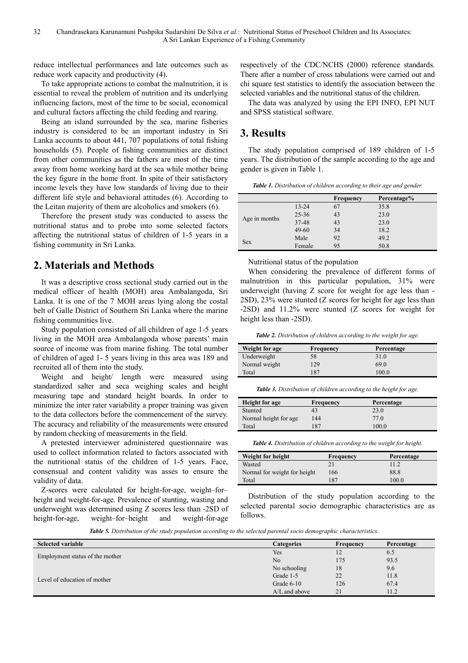reduce intellectual performances and late outcomes such as reduce work capacity and productivity (4).

To take appropriate actions to combat the malnutrition, it is essential to reveal the problem of nutrition and its underlying influencing factors, most of the time to be social, economical and cultural factors affecting the child feeding and rearing.

Being an island surrounded by the sea, marine fisheries industry is considered to be an important industry in Sri Lanka accounts to about 441, 707 populations of total fishing households (5). People of fishing communities are distinct from other communities as the fathers are most of the time away from home working hard at the sea while mother being the key figure in the home front. In spite of their satisfactory income levels they have low standards of living due to their different life style and behavioral attitudes (6). According to the Leitan majority of them are alcoholics and smokers (6).

Therefore the present study was conducted to assess the nutritional status and to probe into some selected factors affecting the nutritional status of children of 1-5 years in a fishing community in Sri Lanka.

### **2. Materials and Methods**

It was a descriptive cross sectional study carried out in the medical officer of health (MOH) area Ambalangoda, Sri Lanka. It is one of the 7 MOH areas lying along the costal belt of Galle District of Southern Sri Lanka where the marine fishing communities live.

Study population consisted of all children of age 1-5 years living in the MOH area Ambalangoda whose parents' main source of income was from marine fishing. The total number of children of aged 1- 5 years living in this area was 189 and recruited all of them into the study.

Weight and height/ length were measured using standardized salter and seca weighing scales and height measuring tape and standard height boards. In order to minimize the inter rater variability a proper training was given to the data collectors before the commencement of the survey. The accuracy and reliability of the measurements were ensured by random checking of measurements in the field.

A pretested interviewer administered questionnaire was used to collect information related to factors associated with the nutritional status of the children of 1-5 years. Face, consensual and content validity was asses to ensure the validity of data.

Z-scores were calculated for height-for-age, weight–for– height and weight-for-age. Prevalence of stunting, wasting and underweight was determined using Z scores less than -2SD of height-for-age, weight–for–height and weight-for-age

respectively of the CDC/NCHS (2000) reference standards. There after a number of cross tabulations were carried out and chi square test statistics to identify the association between the selected variables and the nutritional status of the children.

The data was analyzed by using the EPI INFO, EPI NUT and SPSS statistical software.

## **3. Results**

The study population comprised of 189 children of 1-5 years. The distribution of the sample according to the age and gender is given in Table 1.

|               |           | <b>Frequency</b> | Percentage% |
|---------------|-----------|------------------|-------------|
| Age in months | $13 - 24$ | 67               | 35.8        |
|               | $25 - 36$ | 43               | 23.0        |
|               | 37-48     | 43               | 23.0        |
|               | $49 - 60$ | 34               | 18.2        |
| <b>Sex</b>    | Male      | 92               | 49.2        |
|               | Female    | 95               | 50.8        |

Nutritional status of the population

When considering the prevalence of different forms of malnutrition in this particular population, 31% were underweight (having Z score for weight for age less than - 2SD), 23% were stunted (Z scores for height for age less than -2SD) and 11.2% were stunted (Z scores for weight for height less than -2SD).

*Table 2. Distribution of children according to the weight for age.* 

| Weight for age | Frequency | Percentage |
|----------------|-----------|------------|
| Underweight    | 58        | 31.0       |
| Normal weight  | 129       | 69.0       |
| Total          | 187       | 100.0      |

*Table 3. Distribution of children according to the height for age.* 

| <b>Height for age</b>  | Frequency | Percentage      |
|------------------------|-----------|-----------------|
| Stunted                | 43        | 23.0            |
| Normal height for age. | 144       | 77 <sub>0</sub> |
| Total                  | 187       | 100.0           |

*Table 4. Distribution of children according to the weight for height.* 

| Weight for height            | Frequency | Percentage |
|------------------------------|-----------|------------|
| Wasted                       |           | 112        |
| Normal for weight for height | 166       | 88.8       |
| Total                        | 187       | 100.0      |

Distribution of the study population according to the selected parental socio demographic characteristics are as follows.

*Table 5. Distribution of the study population according to the selected parental socio demographic characteristics.* 

| <b>Selected variable</b>        | <b>Categories</b> | Frequency | Percentage |
|---------------------------------|-------------------|-----------|------------|
|                                 | Yes               | 12        | 6.5        |
| Employment status of the mother | N <sub>o</sub>    | 175       | 93.5       |
|                                 | No schooling      | 18        | 9.6        |
| Level of education of mother    | Grade 1-5         | 22        | 11.8       |
|                                 | Grade 6-10        | 126       | 67.4       |
|                                 | $A/L$ and above   | 21        | 11.2       |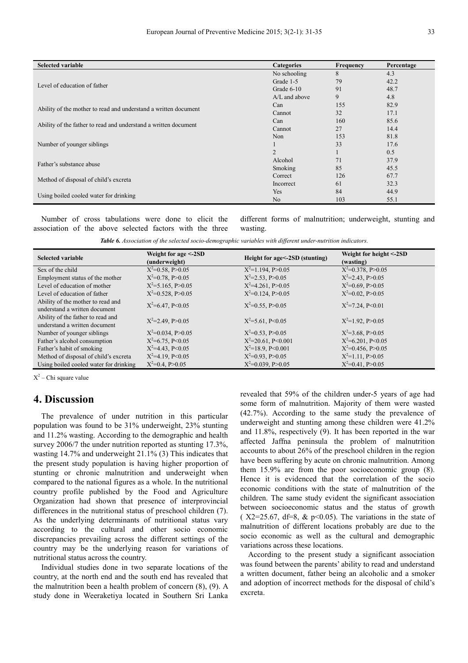| <b>Selected variable</b>                                        | <b>Categories</b> | Frequency | Percentage |
|-----------------------------------------------------------------|-------------------|-----------|------------|
|                                                                 | No schooling      | 8         | 4.3        |
|                                                                 | Grade 1-5         | 79        | 42.2       |
| Level of education of father                                    | Grade 6-10        | 91        | 48.7       |
|                                                                 | $A/L$ and above   | 9         | 4.8        |
|                                                                 | Can               | 155       | 82.9       |
| Ability of the mother to read and understand a written document | Cannot            | 32        | 17.1       |
|                                                                 | Can               | 160       | 85.6       |
| Ability of the father to read and understand a written document | Cannot            | 27        | 14.4       |
|                                                                 | Non               | 153       | 81.8       |
| Number of younger siblings                                      |                   | 33        | 17.6       |
|                                                                 | 2                 |           | 0.5        |
|                                                                 | Alcohol           | 71        | 37.9       |
| Father's substance abuse                                        | Smoking           | 85        | 45.5       |
|                                                                 | Correct           | 126       | 67.7       |
| Method of disposal of child's excreta                           | Incorrect         | 61        | 32.3       |
|                                                                 | Yes               | 84        | 44.9       |
| Using boiled cooled water for drinking                          | N <sub>0</sub>    | 103       | 55.1       |

Number of cross tabulations were done to elicit the association of the above selected factors with the three different forms of malnutrition; underweight, stunting and wasting.

| Table 6. Association of the selected socio-demographic variables with different under-nutrition indicators. |  |  |
|-------------------------------------------------------------------------------------------------------------|--|--|
|-------------------------------------------------------------------------------------------------------------|--|--|

| <b>Selected variable</b>                                           | Weight for age <-2SD<br>(underweight) | Height for age <- 2SD (stunting) | Weight for height <-2SD<br>(wasting) |
|--------------------------------------------------------------------|---------------------------------------|----------------------------------|--------------------------------------|
| Sex of the child                                                   | $X^2=0.58$ , P $>0.05$                | $X^2=1.194$ , P $>0.05$          | $X^2=0.378$ , P $>0.05$              |
| Employment status of the mother                                    | $X^2=0.78$ , P $>0.05$                | $X^2 = 2.53$ , P $> 0.05$        | $X^2 = 2.43$ , P $> 0.05$            |
| Level of education of mother                                       | $X^2 = 5.165$ , P $> 0.05$            | $X^2=4.261$ , P $>0.05$          | $X^2=0.69, P>0.05$                   |
| Level of education of father                                       | $X^2=0.528$ , P $>0.05$               | $X^2=0.124$ , P $>0.05$          | $X^2=0.02$ , P $>0.05$               |
| Ability of the mother to read and<br>understand a written document | $X^2=6.47$ , P<0.05                   | $X^2=0.55$ , P $>0.05$           | $X^2 = 7.24$ , P<0.01                |
| Ability of the father to read and<br>understand a written document | $X^2=2.49$ , P $>0.05$                | $X^2 = 5.61$ , P<0.05            | $X^2=1.92$ , P $>0.05$               |
| Number of younger siblings                                         | $X^2=0.034$ , P $>0.05$               | $X^2=0.53$ , P $>0.05$           | $X^2=3.68$ , P $>0.05$               |
| Father's alcohol consumption                                       | $X^2=6.75$ , P<0.05                   | $X^2 = 20.61$ , P<0.001          | $X^2=6.201$ , P<0.05                 |
| Father's habit of smoking                                          | $X^2 = 4.43$ , P<0.05                 | $X^2=18.9$ , P<0.001             | $X^2=0.456$ , P $>0.05$              |
| Method of disposal of child's excreta                              | $X^2=4.19$ , P<0.05                   | $X^2=0.93$ , P $>0.05$           | $X^2=1.11$ , P $>0.05$               |
| Using boiled cooled water for drinking                             | $X^2=0.4$ , P $>0.05$                 | $X^2=0.039$ , P $>0.05$          | $X^2=0.41$ , P $>0.05$               |

 $X^2$  – Chi square value

#### **4. Discussion**

The prevalence of under nutrition in this particular population was found to be 31% underweight, 23% stunting and 11.2% wasting. According to the demographic and health survey 2006/7 the under nutrition reported as stunting 17.3%, wasting 14.7% and underweight 21.1% (3) This indicates that the present study population is having higher proportion of stunting or chronic malnutrition and underweight when compared to the national figures as a whole. In the nutritional country profile published by the Food and Agriculture Organization had shown that presence of interprovincial differences in the nutritional status of preschool children (7). As the underlying determinants of nutritional status vary according to the cultural and other socio economic discrepancies prevailing across the different settings of the country may be the underlying reason for variations of nutritional status across the country.

Individual studies done in two separate locations of the country, at the north end and the south end has revealed that the malnutrition been a health problem of concern (8), (9). A study done in Weeraketiya located in Southern Sri Lanka

revealed that 59% of the children under-5 years of age had some form of malnutrition. Majority of them were wasted (42.7%). According to the same study the prevalence of underweight and stunting among these children were 41.2% and 11.8%, respectively (9). It has been reported in the war affected Jaffna peninsula the problem of malnutrition accounts to about 26% of the preschool children in the region have been suffering by acute on chronic malnutrition. Among them 15.9% are from the poor socioeconomic group (8). Hence it is evidenced that the correlation of the socio economic conditions with the state of malnutrition of the children. The same study evident the significant association between socioeconomic status and the status of growth ( $X2=25.67$ , df=8, & p<0.05). The variations in the state of malnutrition of different locations probably are due to the socio economic as well as the cultural and demographic variations across these locations.

According to the present study a significant association was found between the parents' ability to read and understand a written document, father being an alcoholic and a smoker and adoption of incorrect methods for the disposal of child's excreta.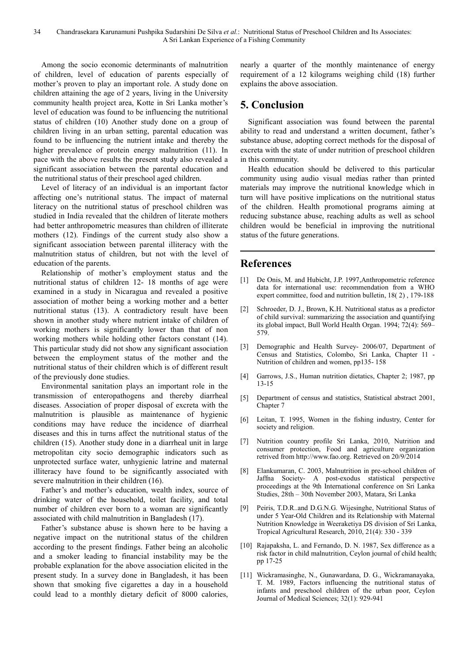Among the socio economic determinants of malnutrition of children, level of education of parents especially of mother's proven to play an important role. A study done on children attaining the age of 2 years, living in the University community health project area, Kotte in Sri Lanka mother's level of education was found to be influencing the nutritional status of children (10) Another study done on a group of children living in an urban setting, parental education was found to be influencing the nutrient intake and thereby the higher prevalence of protein energy malnutrition (11). In pace with the above results the present study also revealed a significant association between the parental education and the nutritional status of their preschool aged children.

Level of literacy of an individual is an important factor affecting one's nutritional status. The impact of maternal literacy on the nutritional status of preschool children was studied in India revealed that the children of literate mothers had better anthropometric measures than children of illiterate mothers (12). Findings of the current study also show a significant association between parental illiteracy with the malnutrition status of children, but not with the level of education of the parents.

Relationship of mother's employment status and the nutritional status of children 12- 18 months of age were examined in a study in Nicaragua and revealed a positive association of mother being a working mother and a better nutritional status (13). A contradictory result have been shown in another study where nutrient intake of children of working mothers is significantly lower than that of non working mothers while holding other factors constant (14). This particular study did not show any significant association between the employment status of the mother and the nutritional status of their children which is of different result of the previously done studies.

Environmental sanitation plays an important role in the transmission of enteropathogens and thereby diarrheal diseases. Association of proper disposal of excreta with the malnutrition is plausible as maintenance of hygienic conditions may have reduce the incidence of diarrheal diseases and this in turns affect the nutritional status of the children (15). Another study done in a diarrheal unit in large metropolitan city socio demographic indicators such as unprotected surface water, unhygienic latrine and maternal illiteracy have found to be significantly associated with severe malnutrition in their children (16).

Father's and mother's education, wealth index, source of drinking water of the household, toilet facility, and total number of children ever born to a woman are significantly associated with child malnutrition in Bangladesh (17).

Father's substance abuse is shown here to be having a negative impact on the nutritional status of the children according to the present findings. Father being an alcoholic and a smoker leading to financial instability may be the probable explanation for the above association elicited in the present study. In a survey done in Bangladesh, it has been shown that smoking five cigarettes a day in a household could lead to a monthly dietary deficit of 8000 calories,

nearly a quarter of the monthly maintenance of energy requirement of a 12 kilograms weighing child (18) further explains the above association.

# **5. Conclusion**

Significant association was found between the parental ability to read and understand a written document, father's substance abuse, adopting correct methods for the disposal of excreta with the state of under nutrition of preschool children in this community.

Health education should be delivered to this particular community using audio visual medias rather than printed materials may improve the nutritional knowledge which in turn will have positive implications on the nutritional status of the children. Health promotional programs aiming at reducing substance abuse, reaching adults as well as school children would be beneficial in improving the nutritional status of the future generations.

#### **References**

- [1] De Onis, M. and Hubicht, J.P. 1997, Anthropometric reference data for international use: recommendation from a WHO expert committee, food and nutrition bulletin, 18( 2) , 179-188
- [2] Schroeder, D. J., Brown, K.H. Nutritional status as a predictor of child survival: summarizing the association and quantifying its global impact, Bull World Health Organ. 1994; 72(4): 569– 579.
- [3] Demographic and Health Survey- 2006/07, Department of Census and Statistics, Colombo, Sri Lanka, Chapter 11 - Nutrition of children and women, pp135- 158
- [4] Garrows, J.S., Human nutrition dietatics, Chapter 2; 1987, pp 13-15
- [5] Department of census and statistics, Statistical abstract 2001, Chapter 7
- [6] Leitan, T. 1995, Women in the fishing industry, Center for society and religion.
- [7] Nutrition country profile Sri Lanka, 2010, Nutrition and consumer protection, Food and agriculture organization retrived from http://www.fao.org. Retrieved on 20/9/2014
- [8] Elankumaran, C. 2003, Malnutrition in pre-school children of Jaffna Society- A post-exodus statistical perspective proceedings at the 9th International conference on Sri Lanka Studies, 28th – 30th November 2003, Matara, Sri Lanka
- [9] Peiris, T.D.R..and D.G.N.G. Wijesinghe, Nutritional Status of under 5 Year-Old Children and its Relationship with Maternal Nutrition Knowledge in Weeraketiya DS division of Sri Lanka, Tropical Agricultural Research, 2010, 21(4): 330 - 339
- [10] Rajapaksha, L. and Fernando, D. N. 1987, Sex difference as a risk factor in child malnutrition, Ceylon journal of child health; pp 17-25
- [11] Wickramasinghe, N., Gunawardana, D. G., Wickramanayaka, T. M. 1989, Factors influencing the nutritional status of infants and preschool children of the urban poor, Ceylon Journal of Medical Sciences; 32(1): 929-941